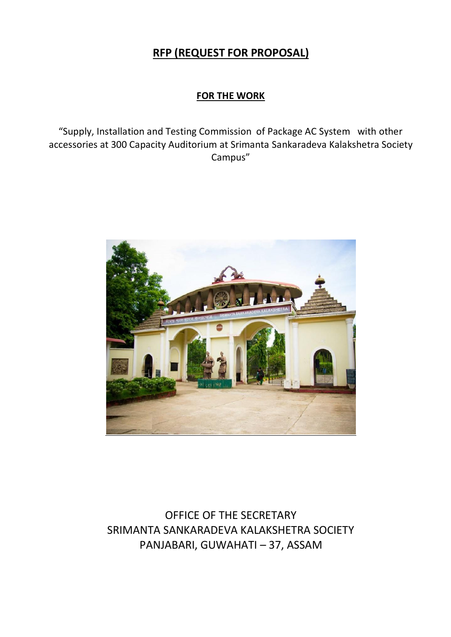# **RFP (REQUEST FOR PROPOSAL)**

# **FOR THE WORK**

"Supply, Installation and Testing Commission of Package AC System with other accessories at 300 Capacity Auditorium at Srimanta Sankaradeva Kalakshetra Society Campus"



OFFICE OF THE SECRETARY SRIMANTA SANKARADEVA KALAKSHETRA SOCIETY PANJABARI, GUWAHATI – 37, ASSAM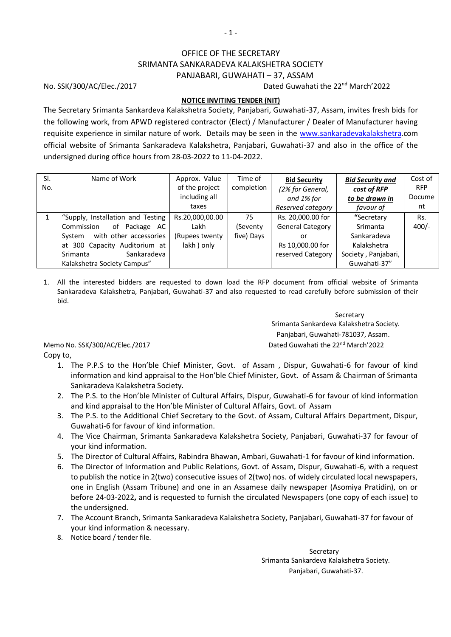# OFFICE OF THE SECRETARY SRIMANTA SANKARADEVA KALAKSHETRA SOCIETY PANJABARI, GUWAHATI – 37, ASSAM

No. SSK/300/AC/Elec./2017 **Dated Guwahati the 22<sup>nd</sup> March'2022** 

# **NOTICE INVITING TENDER (NIT)**

The Secretary Srimanta Sankardeva Kalakshetra Society, Panjabari, Guwahati-37, Assam, invites fresh bids for the following work, from APWD registered contractor (Elect) / Manufacturer / Dealer of Manufacturer having requisite experience in similar nature of work. Details may be seen in the [www.sankaradevakalakshetra.](http://www.sankaradevakalakshetra/)com official website of Srimanta Sankaradeva Kalakshetra, Panjabari, Guwahati-37 and also in the office of the undersigned during office hours from 28-03-2022 to 11-04-2022.

| SI.<br>No. | Name of Work                                                                                                                                                                                              | Approx. Value<br>of the project<br>including all<br>taxes | Time of<br>completion        | <b>Bid Security</b><br>(2% for General,<br>and 1% for<br>Reserved category                  | <b>Bid Security and</b><br>cost of RFP<br>to be drawn in<br>favour of                       | Cost of<br><b>RFP</b><br>Docume<br>nt |
|------------|-----------------------------------------------------------------------------------------------------------------------------------------------------------------------------------------------------------|-----------------------------------------------------------|------------------------------|---------------------------------------------------------------------------------------------|---------------------------------------------------------------------------------------------|---------------------------------------|
|            | "Supply, Installation and Testing<br>Package AC<br>Commission<br>of<br>with other accessories<br>System<br>at 300 Capacity Auditorium at<br>Sankaradeva<br><b>Srimanta</b><br>Kalakshetra Society Campus" | Rs.20,000,00.00<br>Lakh<br>(Rupees twenty)<br>lakh) only  | 75<br>(Seventy<br>five) Days | Rs. 20,000.00 for<br><b>General Category</b><br>or<br>Rs 10,000.00 for<br>reserved Category | "Secretary<br>Srimanta<br>Sankaradeva<br>Kalakshetra<br>Society, Panjabari,<br>Guwahati-37" | Rs.<br>$400/-$                        |

1. All the interested bidders are requested to down load the RFP document from official website of Srimanta Sankaradeva Kalakshetra, Panjabari, Guwahati-37 and also requested to read carefully before submission of their bid.

 Secretary Srimanta Sankardeva Kalakshetra Society. Panjabari, Guwahati-781037, Assam. Memo No. SSK/300/AC/Elec./2017 **Dated Guwahati the 22<sup>nd</sup> March'2022** 

Copy to,

- 1. The P.P.S to the Hon'ble Chief Minister, Govt. of Assam , Dispur, Guwahati-6 for favour of kind information and kind appraisal to the Hon'ble Chief Minister, Govt. of Assam & Chairman of Srimanta Sankaradeva Kalakshetra Society.
- 2. The P.S. to the Hon'ble Minister of Cultural Affairs, Dispur, Guwahati-6 for favour of kind information and kind appraisal to the Hon'ble Minister of Cultural Affairs, Govt. of Assam
- 3. The P.S. to the Additional Chief Secretary to the Govt. of Assam, Cultural Affairs Department, Dispur, Guwahati-6 for favour of kind information.
- 4. The Vice Chairman, Srimanta Sankaradeva Kalakshetra Society, Panjabari, Guwahati-37 for favour of your kind information.
- 5. The Director of Cultural Affairs, Rabindra Bhawan, Ambari, Guwahati-1 for favour of kind information.
- 6. The Director of Information and Public Relations, Govt. of Assam, Dispur, Guwahati-6, with a request to publish the notice in 2(two) consecutive issues of 2(two) nos. of widely circulated local newspapers, one in English (Assam Tribune) and one in an Assamese daily newspaper (Asomiya Pratidin), on or before 24-03-2022**,** and is requested to furnish the circulated Newspapers (one copy of each issue) to the undersigned.
- 7. The Account Branch, Srimanta Sankaradeva Kalakshetra Society, Panjabari, Guwahati-37 for favour of your kind information & necessary.
- 8. Notice board / tender file.

 Secretary Srimanta Sankardeva Kalakshetra Society. Panjabari, Guwahati-37.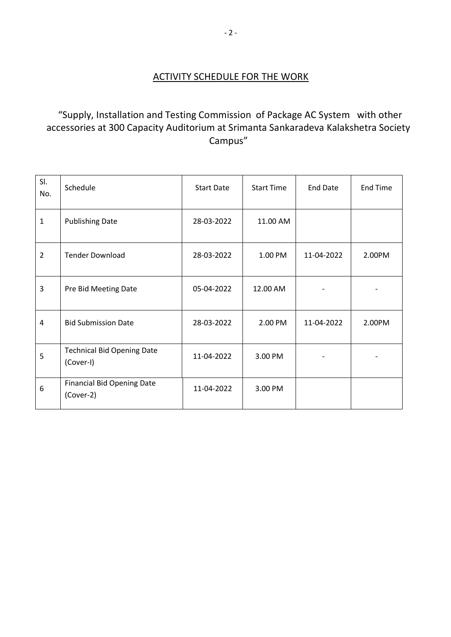# "Supply, Installation and Testing Commission of Package AC System with other accessories at 300 Capacity Auditorium at Srimanta Sankaradeva Kalakshetra Society Campus"

| SI.<br>No.     | Schedule                                       | <b>Start Date</b> | <b>Start Time</b> | <b>End Date</b> | <b>End Time</b> |
|----------------|------------------------------------------------|-------------------|-------------------|-----------------|-----------------|
| $\mathbf{1}$   | <b>Publishing Date</b>                         | 28-03-2022        | 11.00 AM          |                 |                 |
| $\overline{2}$ | <b>Tender Download</b>                         | 28-03-2022        | 1.00 PM           | 11-04-2022      | 2.00PM          |
| 3              | Pre Bid Meeting Date                           | 05-04-2022        | 12.00 AM          |                 |                 |
| 4              | <b>Bid Submission Date</b>                     | 28-03-2022        | 2.00 PM           | 11-04-2022      | 2.00PM          |
| 5              | <b>Technical Bid Opening Date</b><br>(Cover-I) | 11-04-2022        | 3.00 PM           |                 |                 |
| 6              | <b>Financial Bid Opening Date</b><br>(Cover-2) | 11-04-2022        | 3.00 PM           |                 |                 |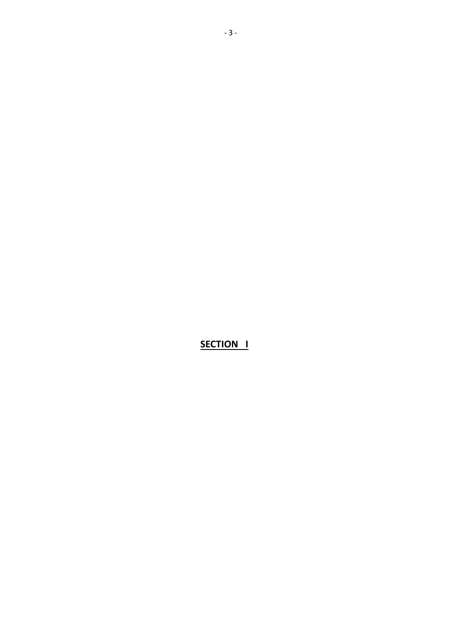**SECTION I**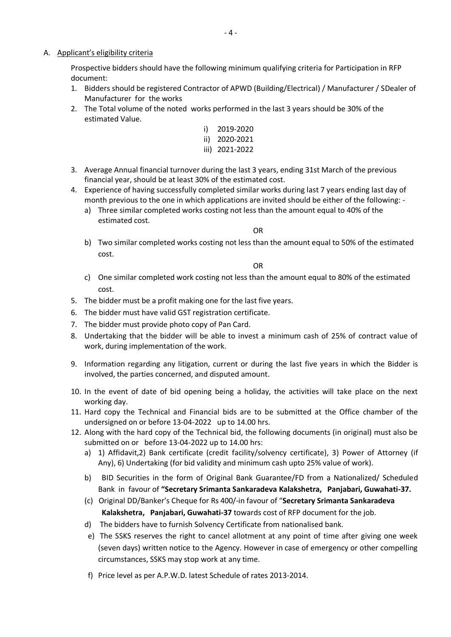## A. Applicant's eligibility criteria

Prospective bidders should have the following minimum qualifying criteria for Participation in RFP document:

- 1. Bidders should be registered Contractor of APWD (Building/Electrical) / Manufacturer / SDealer of Manufacturer for the works
- 2. The Total volume of the noted works performed in the last 3 years should be 30% of the estimated Value.
	- i) 2019-2020 ii) 2020-2021 iii) 2021-2022
- 3. Average Annual financial turnover during the last 3 years, ending 31st March of the previous financial year, should be at least 30% of the estimated cost.
- 4. Experience of having successfully completed similar works during last 7 years ending last day of month previous to the one in which applications are invited should be either of the following:
	- a) Three similar completed works costing not less than the amount equal to 40% of the estimated cost.

OR

b) Two similar completed works costing not less than the amount equal to 50% of the estimated cost.

OR

- c) One similar completed work costing not less than the amount equal to 80% of the estimated cost.
- 5. The bidder must be a profit making one for the last five years.
- 6. The bidder must have valid GST registration certificate.
- 7. The bidder must provide photo copy of Pan Card.
- 8. Undertaking that the bidder will be able to invest a minimum cash of 25% of contract value of work, during implementation of the work.
- 9. Information regarding any litigation, current or during the last five years in which the Bidder is involved, the parties concerned, and disputed amount.
- 10. In the event of date of bid opening being a holiday, the activities will take place on the next working day.
- 11. Hard copy the Technical and Financial bids are to be submitted at the Office chamber of the undersigned on or before 13-04-2022 up to 14.00 hrs.
- 12. Along with the hard copy of the Technical bid, the following documents (in original) must also be submitted on or before 13-04-2022 up to 14.00 hrs:
	- a) 1) Affidavit,2) Bank certificate (credit facility/solvency certificate), 3) Power of Attorney (if Any), 6) Undertaking (for bid validity and minimum cash upto 25% value of work).
	- b) BID Securities in the form of Original Bank Guarantee/FD from a Nationalized/ Scheduled Bank in favour of **"Secretary Srimanta Sankaradeva Kalakshetra, Panjabari, Guwahati-37.**
	- (c) Original DD/Banker's Cheque for Rs 400/-in favour of "**Secretary Srimanta Sankaradeva Kalakshetra, Panjabari, Guwahati-37** towards cost of RFP document for the job.
	- d) The bidders have to furnish Solvency Certificate from nationalised bank.
	- e) The SSKS reserves the right to cancel allotment at any point of time after giving one week (seven days) written notice to the Agency. However in case of emergency or other compelling circumstances, SSKS may stop work at any time.
	- f) Price level as per A.P.W.D. latest Schedule of rates 2013-2014.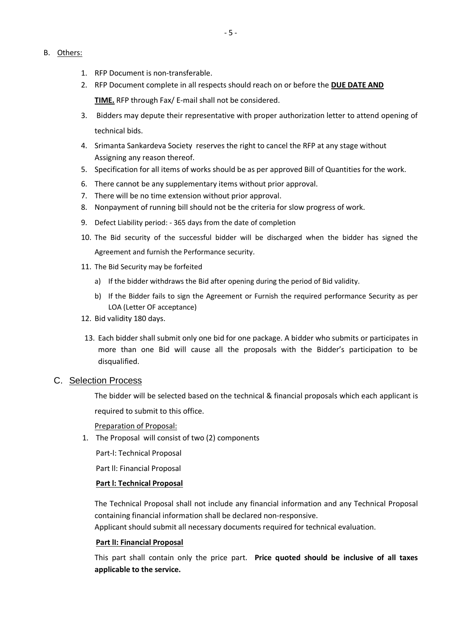- B. Others:
	- 1. RFP Document is non-transferable.
	- 2. RFP Document complete in all respects should reach on or before the **DUE DATE AND TIME.** RFP through Fax/ E‐mail shall not be considered.
	- 3. Bidders may depute their representative with proper authorization letter to attend opening of technical bids.
	- 4. Srimanta Sankardeva Society reserves the right to cancel the RFP at any stage without Assigning any reason thereof.
	- 5. Specification for all items of works should be as per approved Bill of Quantities for the work.
	- 6. There cannot be any supplementary items without prior approval.
	- 7. There will be no time extension without prior approval.
	- 8. Nonpayment of running bill should not be the criteria for slow progress of work.
	- 9. Defect Liability period: 365 days from the date of completion
	- 10. The Bid security of the successful bidder will be discharged when the bidder has signed the Agreement and furnish the Performance security.
	- 11. The Bid Security may be forfeited
		- a) If the bidder withdraws the Bid after opening during the period of Bid validity.
		- b) If the Bidder fails to sign the Agreement or Furnish the required performance Security as per LOA (Letter OF acceptance)
	- 12. Bid validity 180 days.
	- 13. Each bidder shall submit only one bid for one package. A bidder who submits or participates in more than one Bid will cause all the proposals with the Bidder's participation to be disqualified.

## C. Selection Process

The bidder will be selected based on the technical & financial proposals which each applicant is required to submit to this office.

Preparation of Proposal:

1. The Proposal will consist of two (2) components

Part‐l: Technical Proposal

Part ll: Financial Proposal

## **Part l: Technical Proposal**

The Technical Proposal shall not include any financial information and any Technical Proposal containing financial information shall be declared non‐responsive.

Applicant should submit all necessary documents required for technical evaluation.

#### **Part lI: Financial Proposal**

This part shall contain only the price part. **Price quoted should be inclusive of all taxes applicable to the service.**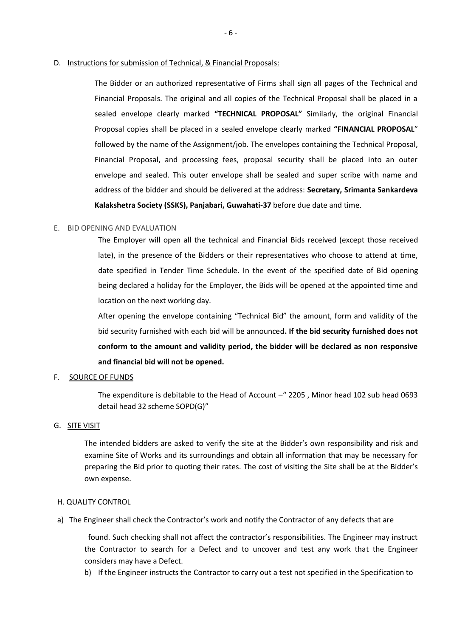D. Instructions for submission of Technical, & Financial Proposals:

The Bidder or an authorized representative of Firms shall sign all pages of the Technical and Financial Proposals. The original and all copies of the Technical Proposal shall be placed in a sealed envelope clearly marked **"TECHNICAL PROPOSAL"** Similarly, the original Financial Proposal copies shall be placed in a sealed envelope clearly marked **"FINANCIAL PROPOSAL**" followed by the name of the Assignment/job. The envelopes containing the Technical Proposal, Financial Proposal, and processing fees, proposal security shall be placed into an outer envelope and sealed. This outer envelope shall be sealed and super scribe with name and address of the bidder and should be delivered at the address: **Secretary, Srimanta Sankardeva Kalakshetra Society (SSKS), Panjabari, Guwahati-37** before due date and time.

## E. BID OPENING AND EVALUATION

The Employer will open all the technical and Financial Bids received (except those received late), in the presence of the Bidders or their representatives who choose to attend at time, date specified in Tender Time Schedule. In the event of the specified date of Bid opening being declared a holiday for the Employer, the Bids will be opened at the appointed time and location on the next working day.

After opening the envelope containing "Technical Bid" the amount, form and validity of the bid security furnished with each bid will be announced**. If the bid security furnished does not conform to the amount and validity period, the bidder will be declared as non responsive and financial bid will not be opened.**

# F. SOURCE OF FUNDS

The expenditure is debitable to the Head of Account –" 2205 , Minor head 102 sub head 0693 detail head 32 scheme SOPD(G)"

#### G. SITE VISIT

The intended bidders are asked to verify the site at the Bidder's own responsibility and risk and examine Site of Works and its surroundings and obtain all information that may be necessary for preparing the Bid prior to quoting their rates. The cost of visiting the Site shall be at the Bidder's own expense.

#### H. QUALITY CONTROL

a) The Engineer shall check the Contractor's work and notify the Contractor of any defects that are

 found. Such checking shall not affect the contractor's responsibilities. The Engineer may instruct the Contractor to search for a Defect and to uncover and test any work that the Engineer considers may have a Defect.

b) If the Engineer instructs the Contractor to carry out a test not specified in the Specification to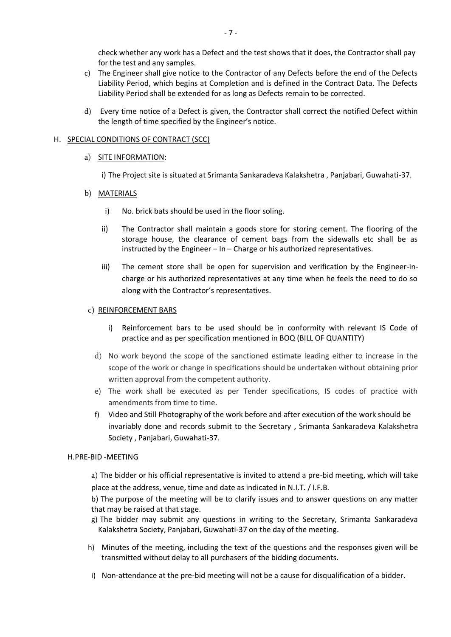check whether any work has a Defect and the test shows that it does, the Contractor shall pay for the test and any samples.

- c) The Engineer shall give notice to the Contractor of any Defects before the end of the Defects Liability Period, which begins at Completion and is defined in the Contract Data. The Defects Liability Period shall be extended for as long as Defects remain to be corrected.
- d) Every time notice of a Defect is given, the Contractor shall correct the notified Defect within the length of time specified by the Engineer's notice.

## H. SPECIAL CONDITIONS OF CONTRACT (SCC)

## a) SITE INFORMATION:

i) The Project site is situated at Srimanta Sankaradeva Kalakshetra , Panjabari, Guwahati-37.

## b) MATERIALS

- i) No. brick bats should be used in the floor soling.
- ii) The Contractor shall maintain a goods store for storing cement. The flooring of the storage house, the clearance of cement bags from the sidewalls etc shall be as instructed by the Engineer – In – Charge or his authorized representatives.
- iii) The cement store shall be open for supervision and verification by the Engineer-incharge or his authorized representatives at any time when he feels the need to do so along with the Contractor's representatives.

## c) REINFORCEMENT BARS

- i) Reinforcement bars to be used should be in conformity with relevant IS Code of practice and as per specification mentioned in BOQ (BILL OF QUANTITY)
- d) No work beyond the scope of the sanctioned estimate leading either to increase in the scope of the work or change in specifications should be undertaken without obtaining prior written approval from the competent authority.
- e) The work shall be executed as per Tender specifications, IS codes of practice with amendments from time to time.
- f) Video and Still Photography of the work before and after execution of the work should be invariably done and records submit to the Secretary , Srimanta Sankaradeva Kalakshetra Society , Panjabari, Guwahati-37.

# H.PRE-BID -MEETING

a) The bidder or his official representative is invited to attend a pre-bid meeting, which will take place at the address, venue, time and date as indicated in N.I.T. / I.F.B.

b) The purpose of the meeting will be to clarify issues and to answer questions on any matter that may be raised at that stage.

- g) The bidder may submit any questions in writing to the Secretary, Srimanta Sankaradeva Kalakshetra Society, Panjabari, Guwahati-37 on the day of the meeting.
- h) Minutes of the meeting, including the text of the questions and the responses given will be transmitted without delay to all purchasers of the bidding documents.
- i) Non-attendance at the pre-bid meeting will not be a cause for disqualification of a bidder.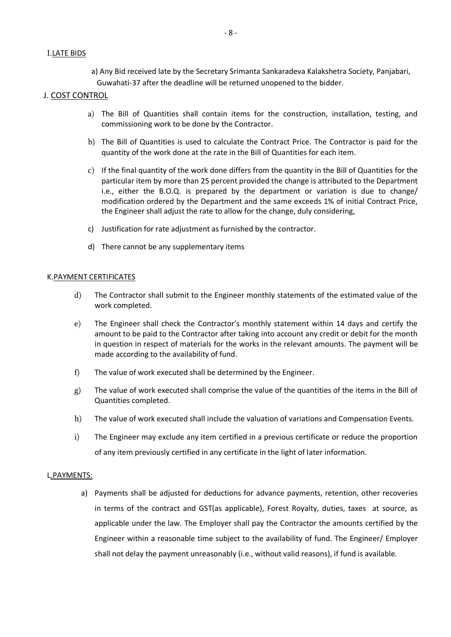## I.LATE BIDS

a) Any Bid received late by the Secretary Srimanta Sankaradeva Kalakshetra Society, Panjabari, Guwahati-37 after the deadline will be returned unopened to the bidder.

## J. COST CONTROL

- a) The Bill of Quantities shall contain items for the construction, installation, testing, and commissioning work to be done by the Contractor.
- b) The Bill of Quantities is used to calculate the Contract Price. The Contractor is paid for the quantity of the work done at the rate in the Bill of Quantities for each item.
- c) If the final quantity of the work done differs from the quantity in the Bill of Quantities for the particular item by more than 25 percent provided the change is attributed to the Department i.e., either the B.O.Q. is prepared by the department or variation is due to change/ modification ordered by the Department and the same exceeds 1% of initial Contract Price, the Engineer shall adjust the rate to allow for the change, duly considering,
- c) Justification for rate adjustment as furnished by the contractor.
- d) There cannot be any supplementary items

# K.PAYMENT CERTIFICATES

- d) The Contractor shall submit to the Engineer monthly statements of the estimated value of the work completed.
- e) The Engineer shall check the Contractor's monthly statement within 14 days and certify the amount to be paid to the Contractor after taking into account any credit or debit for the month in question in respect of materials for the works in the relevant amounts. The payment will be made according to the availability of fund.
- f) The value of work executed shall be determined by the Engineer.
- g) The value of work executed shall comprise the value of the quantities of the items in the Bill of Quantities completed.
- h) The value of work executed shall include the valuation of variations and Compensation Events.
- i) The Engineer may exclude any item certified in a previous certificate or reduce the proportion of any item previously certified in any certificate in the light of later information.

#### L.PAYMENTS:

a) Payments shall be adjusted for deductions for advance payments, retention, other recoveries in terms of the contract and GST(as applicable), Forest Royalty, duties, taxes at source, as applicable under the law. The Employer shall pay the Contractor the amounts certified by the Engineer within a reasonable time subject to the availability of fund. The Engineer/ Employer shall not delay the payment unreasonably (i.e., without valid reasons), if fund is available.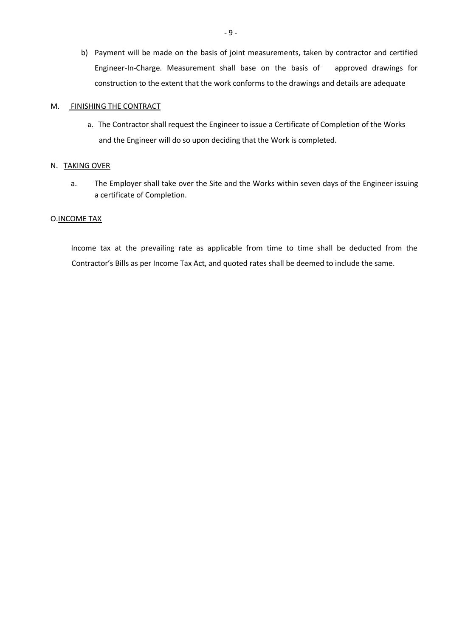b) Payment will be made on the basis of joint measurements, taken by contractor and certified Engineer-In-Charge. Measurement shall base on the basis of approved drawings for construction to the extent that the work conforms to the drawings and details are adequate

#### M. FINISHING THE CONTRACT

a. The Contractor shall request the Engineer to issue a Certificate of Completion of the Works and the Engineer will do so upon deciding that the Work is completed.

#### N. TAKING OVER

a. The Employer shall take over the Site and the Works within seven days of the Engineer issuing a certificate of Completion.

#### O.INCOME TAX

 Income tax at the prevailing rate as applicable from time to time shall be deducted from the Contractor's Bills as per Income Tax Act, and quoted rates shall be deemed to include the same.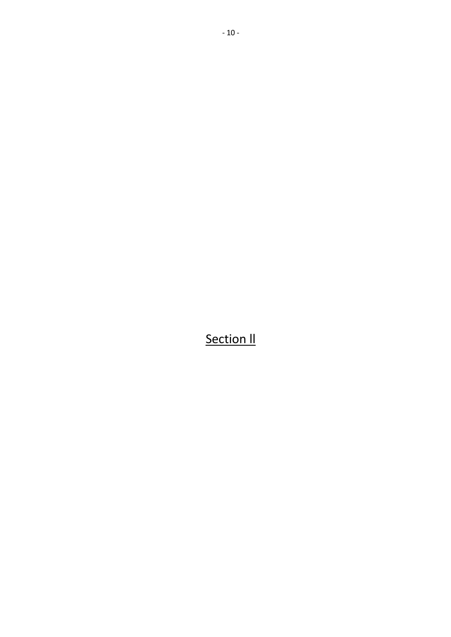**Section II**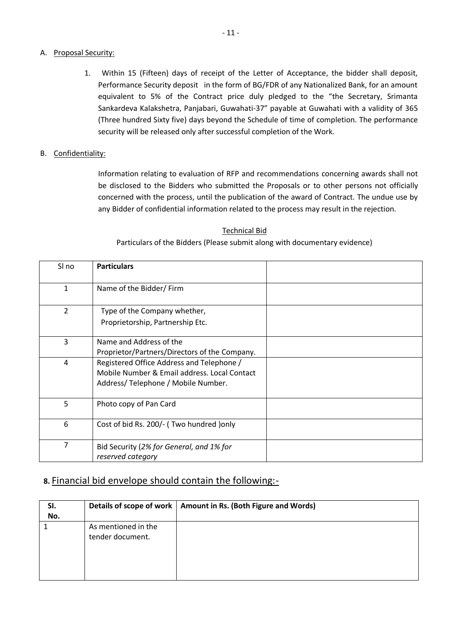# A. Proposal Security:

1. Within 15 (Fifteen) days of receipt of the Letter of Acceptance, the bidder shall deposit, Performance Security deposit in the form of BG/FDR of any Nationalized Bank, for an amount equivalent to 5% of the Contract price duly pledged to the "the Secretary, Srimanta Sankardeva Kalakshetra, Panjabari, Guwahati-37" payable at Guwahati with a validity of 365 (Three hundred Sixty five) days beyond the Schedule of time of completion. The performance security will be released only after successful completion of the Work.

# B. Confidentiality:

Information relating to evaluation of RFP and recommendations concerning awards shall not be disclosed to the Bidders who submitted the Proposals or to other persons not officially concerned with the process, until the publication of the award of Contract. The undue use by any Bidder of confidential information related to the process may result in the rejection.

# Technical Bid

Particulars of the Bidders (Please submit along with documentary evidence)

| SI no | <b>Particulars</b>                                                                                                              |
|-------|---------------------------------------------------------------------------------------------------------------------------------|
| 1     | Name of the Bidder/Firm                                                                                                         |
| 2     | Type of the Company whether,<br>Proprietorship, Partnership Etc.                                                                |
| 3     | Name and Address of the<br>Proprietor/Partners/Directors of the Company.                                                        |
| 4     | Registered Office Address and Telephone /<br>Mobile Number & Email address, Local Contact<br>Address/Telephone / Mobile Number. |
| 5     | Photo copy of Pan Card                                                                                                          |
| 6     | Cost of bid Rs. 200/- (Two hundred ) only                                                                                       |
| 7     | Bid Security (2% for General, and 1% for<br>reserved category                                                                   |

# **8.** Financial bid envelope should contain the following:-

| SI. |                                         | Details of scope of work   Amount in Rs. (Both Figure and Words) |
|-----|-----------------------------------------|------------------------------------------------------------------|
| No. |                                         |                                                                  |
|     | As mentioned in the<br>tender document. |                                                                  |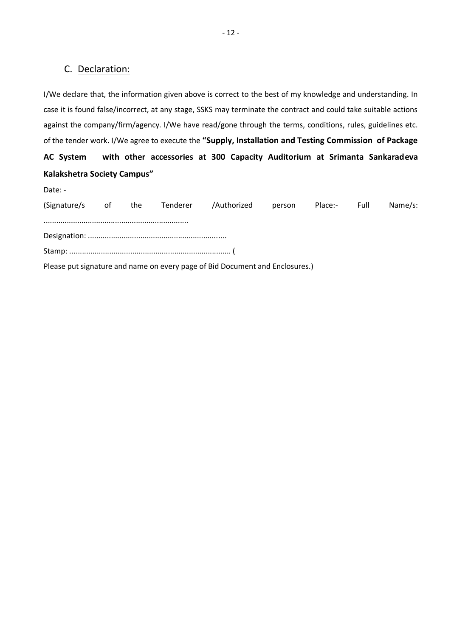# C. Declaration:

I/We declare that, the information given above is correct to the best of my knowledge and understanding. In case it is found false/incorrect, at any stage, SSKS may terminate the contract and could take suitable actions against the company/firm/agency. I/We have read/gone through the terms, conditions, rules, guidelines etc. of the tender work. I/We agree to execute the **"Supply, Installation and Testing Commission of Package AC System with other accessories at 300 Capacity Auditorium at Srimanta Sankaradeva Kalakshetra Society Campus"**

| Date: -             |  |                                                                              |        |              |         |
|---------------------|--|------------------------------------------------------------------------------|--------|--------------|---------|
| (Signature/s of the |  | Tenderer /Authorized                                                         | person | Place:- Full | Name/s: |
|                     |  |                                                                              |        |              |         |
|                     |  |                                                                              |        |              |         |
|                     |  | Please put signature and name on every page of Bid Document and Enclosures.) |        |              |         |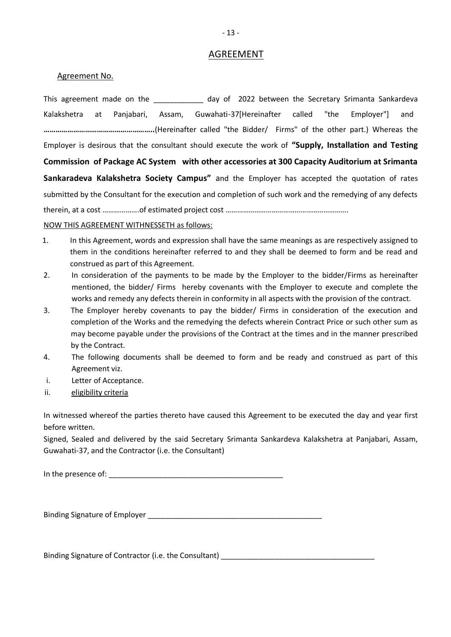# AGREEMENT

# Agreement No.

This agreement made on the day of 2022 between the Secretary Srimanta Sankardeva Kalakshetra at Panjabari, Assam, Guwahati-37[Hereinafter called "the Employer"] and**– ………………………………………………..**(Hereinafter called "the Bidder/ Firms" of the other part.) Whereas the Employer is desirous that the consultant should execute the work of **"Supply, Installation and Testing Commission of Package AC System with other accessories at 300 Capacity Auditorium at Srimanta Sankaradeva Kalakshetra Society Campus"** and the Employer has accepted the quotation of rates submitted by the Consultant for the execution and completion of such work and the remedying of any defects therein, at a cost ……………….of estimated project cost ……………………………………………………….

## NOW THIS AGREEMENT WITHNESSETH as follows:

- 1. In this Agreement, words and expression shall have the same meanings as are respectively assigned to them in the conditions hereinafter referred to and they shall be deemed to form and be read and construed as part of this Agreement.
- 2. In consideration of the payments to be made by the Employer to the bidder/Firms as hereinafter mentioned, the bidder/ Firms hereby covenants with the Employer to execute and complete the works and remedy any defects therein in conformity in all aspects with the provision of the contract.
- 3. The Employer hereby covenants to pay the bidder/ Firms in consideration of the execution and completion of the Works and the remedying the defects wherein Contract Price or such other sum as may become payable under the provisions of the Contract at the times and in the manner prescribed by the Contract.
- 4. The following documents shall be deemed to form and be ready and construed as part of this Agreement viz.
- i. Letter of Acceptance.
- ii. eligibility criteria

In witnessed whereof the parties thereto have caused this Agreement to be executed the day and year first before written.

Signed, Sealed and delivered by the said Secretary Srimanta Sankardeva Kalakshetra at Panjabari, Assam, Guwahati-37, and the Contractor (i.e. the Consultant)

In the presence of:  $\blacksquare$ 

Binding Signature of Employer \_\_\_\_\_\_\_\_\_\_\_\_\_\_\_\_\_\_\_\_\_\_\_\_\_\_\_\_\_\_\_\_\_\_\_\_\_\_\_\_\_\_

Binding Signature of Contractor (i.e. the Consultant) **Example 2018** 2019 2020 2021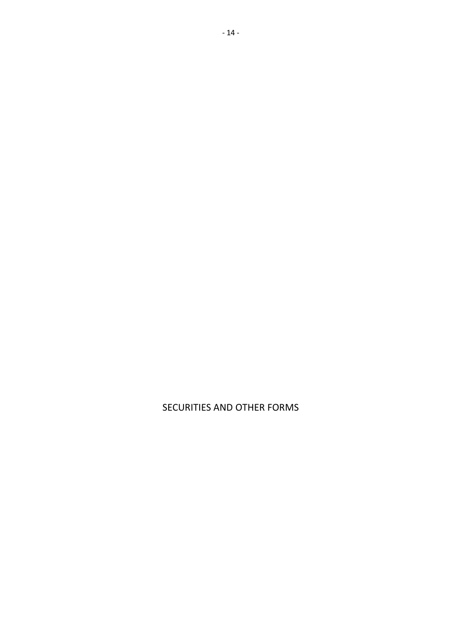SECURITIES AND OTHER FORMS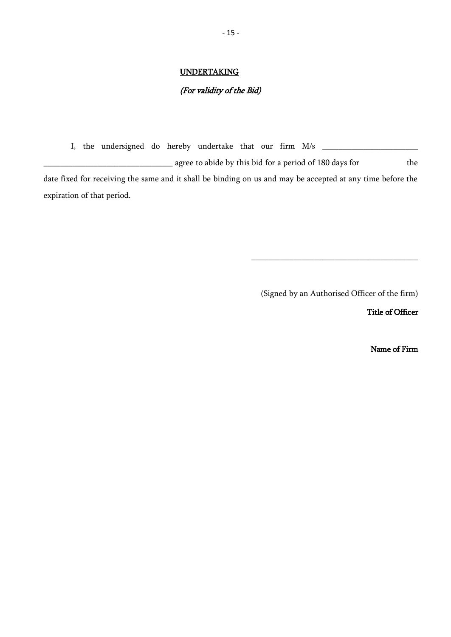# **UNDERTAKING**

# (For validity of the Bid)

I, the undersigned do hereby undertake that our firm  $M/s$   $\qquad \qquad$ quently agree to abide by this bid for a period of 180 days for the date fixed for receiving the same and it shall be binding on us and may be accepted at any time before the expiration of that period.

(Signed by an Authorised Officer of the firm)

\_\_\_\_\_\_\_\_\_\_\_\_\_\_\_\_\_\_\_\_\_\_\_\_\_\_\_\_\_\_\_\_\_\_\_\_\_\_\_\_

Title of Officer

Name of Firm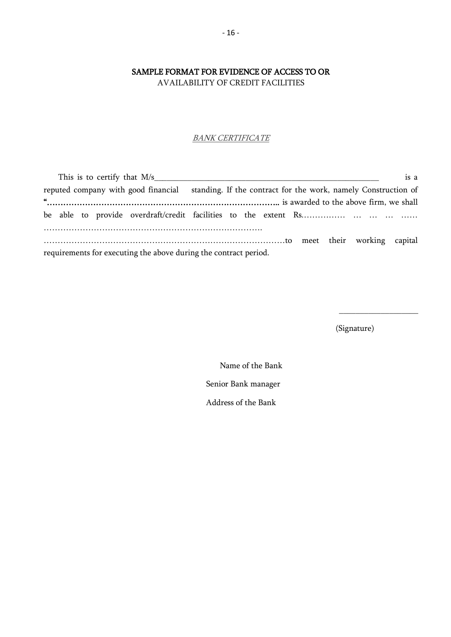# SAMPLE FORMAT FOR EVIDENCE OF ACCESS TO OR

AVAILABILITY OF CREDIT FACILITIES

# **BANK CERTIFICATE**

|                                                                  | is a<br>This is to certify that M/s                                                                |
|------------------------------------------------------------------|----------------------------------------------------------------------------------------------------|
|                                                                  | reputed company with good financial standing. If the contract for the work, namely Construction of |
| $\alpha$                                                         |                                                                                                    |
|                                                                  |                                                                                                    |
|                                                                  |                                                                                                    |
| requirements for executing the above during the contract period. |                                                                                                    |

(Signature)

 $\_$ 

 Name of the Bank Senior Bank manager Address of the Bank